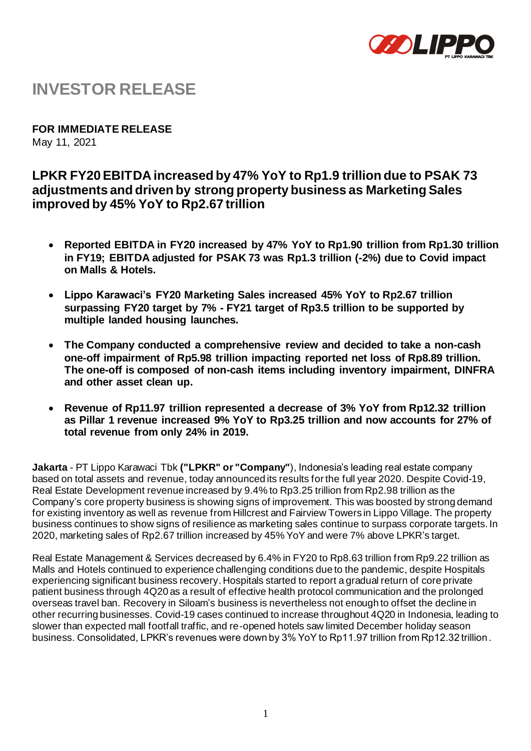

# **INVESTOR RELEASE**

**FOR IMMEDIATE RELEASE** May 11, 2021

## **LPKR FY20 EBITDA increased by 47% YoY to Rp1.9 trillion due to PSAK 73 adjustments and driven by strong property business as Marketing Sales improved by 45% YoY to Rp2.67 trillion**

- **Reported EBITDA in FY20 increased by 47% YoY to Rp1.90 trillion from Rp1.30 trillion in FY19; EBITDA adjusted for PSAK 73 was Rp1.3 trillion (-2%) due to Covid impact on Malls & Hotels.**
- **Lippo Karawaci's FY20 Marketing Sales increased 45% YoY to Rp2.67 trillion surpassing FY20 target by 7% - FY21 target of Rp3.5 trillion to be supported by multiple landed housing launches.**
- **The Company conducted a comprehensive review and decided to take a non-cash one-off impairment of Rp5.98 trillion impacting reported net loss of Rp8.89 trillion. The one-off is composed of non-cash items including inventory impairment, DINFRA and other asset clean up.**
- **Revenue of Rp11.97 trillion represented a decrease of 3% YoY from Rp12.32 trillion as Pillar 1 revenue increased 9% YoY to Rp3.25 trillion and now accounts for 27% of total revenue from only 24% in 2019.**

**Jakarta** - PT Lippo Karawaci Tbk **("LPKR" or "Company"**), Indonesia's leading real estate company based on total assets and revenue, today announced its results for the full year 2020. Despite Covid-19, Real Estate Development revenue increased by 9.4% to Rp3.25 trillion from Rp2.98 trillion as the Company's core property business is showing signs of improvement. This was boosted by strong demand for existing inventory as well as revenue from Hillcrest and Fairview Towers in Lippo Village. The property business continues to show signs of resilience as marketing sales continue to surpass corporate targets. In 2020, marketing sales of Rp2.67 trillion increased by 45% YoY and were 7% above LPKR's target.

Real Estate Management & Services decreased by 6.4% in FY20 to Rp8.63 trillion from Rp9.22 trillion as Malls and Hotels continued to experience challenging conditions due to the pandemic, despite Hospitals experiencing significant business recovery. Hospitals started to report a gradual return of core private patient business through 4Q20 as a result of effective health protocol communication and the prolonged overseas travel ban. Recovery in Siloam's business is nevertheless not enough to offset the decline in other recurring businesses. Covid-19 cases continued to increase throughout 4Q20 in Indonesia, leading to slower than expected mall footfall traffic, and re-opened hotels saw limited December holiday season business. Consolidated, LPKR's revenues were down by 3% YoY to Rp11.97 trillion from Rp12.32 trillion.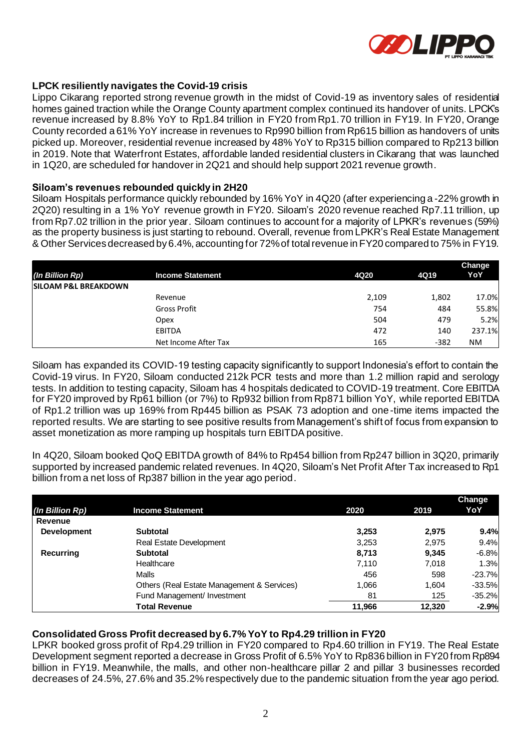

#### **LPCK resiliently navigates the Covid-19 crisis**

Lippo Cikarang reported strong revenue growth in the midst of Covid-19 as inventory sales of residential homes gained traction while the Orange County apartment complex continued its handover of units. LPCK's revenue increased by 8.8% YoY to Rp1.84 trillion in FY20 from Rp1.70 trillion in FY19. In FY20, Orange County recorded a 61% YoY increase in revenues to Rp990 billion from Rp615 billion as handovers of units picked up. Moreover, residential revenue increased by 48% YoY to Rp315 billion compared to Rp213 billion in 2019. Note that Waterfront Estates, affordable landed residential clusters in Cikarang that was launched in 1Q20, are scheduled for handover in 2Q21 and should help support 2021 revenue growth.

#### **Siloam's revenues rebounded quickly in 2H20**

Siloam Hospitals performance quickly rebounded by 16% YoY in 4Q20 (after experiencing a -22% growth in 2Q20) resulting in a 1% YoY revenue growth in FY20. Siloam's 2020 revenue reached Rp7.11 trillion, up from Rp7.02 trillion in the prior year. Siloam continues to account for a majority of LPKR's revenues (59%) as the property business is just starting to rebound. Overall, revenue from LPKR's Real Estate Management & Other Services decreased by 6.4%, accounting for 72% of total revenue in FY20 compared to 75% in FY19.

|                                 |                         |       |        | Change |
|---------------------------------|-------------------------|-------|--------|--------|
| (In Billion Rp)                 | <b>Income Statement</b> | 4Q20  | 4Q19   | YoY    |
| <b>SILOAM P&amp;L BREAKDOWN</b> |                         |       |        |        |
|                                 | Revenue                 | 2,109 | 1,802  | 17.0%  |
|                                 | <b>Gross Profit</b>     | 754   | 484    | 55.8%  |
|                                 | Opex                    | 504   | 479    | 5.2%   |
|                                 | <b>EBITDA</b>           | 472   | 140    | 237.1% |
|                                 | Net Income After Tax    | 165   | $-382$ | NM.    |

Siloam has expanded its COVID-19 testing capacity significantly to support Indonesia's effort to contain the Covid-19 virus. In FY20, Siloam conducted 212k PCR tests and more than 1.2 million rapid and serology tests. In addition to testing capacity, Siloam has 4 hospitals dedicated to COVID-19 treatment. Core EBITDA for FY20 improved by Rp61 billion (or 7%) to Rp932 billion from Rp871 billion YoY, while reported EBITDA of Rp1.2 trillion was up 169% from Rp445 billion as PSAK 73 adoption and one-time items impacted the reported results. We are starting to see positive results from Management's shift of focus from expansion to asset monetization as more ramping up hospitals turn EBITDA positive.

In 4Q20, Siloam booked QoQ EBITDA growth of 84% to Rp454 billion from Rp247 billion in 3Q20, primarily supported by increased pandemic related revenues. In 4Q20, Siloam's Net Profit After Tax increased to Rp1 billion from a net loss of Rp387 billion in the year ago period.

|                    |                                            |        |        | <b>Change</b> |
|--------------------|--------------------------------------------|--------|--------|---------------|
| (In Billion Rp)    | <b>Income Statement</b>                    | 2020   | 2019   | YoY           |
| Revenue            |                                            |        |        |               |
| <b>Development</b> | <b>Subtotal</b>                            | 3,253  | 2,975  | 9.4%          |
|                    | <b>Real Estate Development</b>             | 3,253  | 2,975  | 9.4%          |
| <b>Recurring</b>   | <b>Subtotal</b>                            | 8,713  | 9.345  | $-6.8%$       |
|                    | Healthcare                                 | 7,110  | 7,018  | 1.3%          |
|                    | Malls                                      | 456    | 598    | $-23.7%$      |
|                    | Others (Real Estate Management & Services) | 1,066  | 1.604  | $-33.5%$      |
|                    | Fund Management/ Investment                | 81     | 125    | $-35.2%$      |
|                    | <b>Total Revenue</b>                       | 11.966 | 12,320 | $-2.9%$       |

#### **Consolidated Gross Profit decreased by 6.7% YoY to Rp4.29 trillion in FY20**

LPKR booked gross profit of Rp4.29 trillion in FY20 compared to Rp4.60 trillion in FY19. The Real Estate Development segment reported a decrease in Gross Profit of 6.5% YoY to Rp836 billion in FY20 from Rp894 billion in FY19. Meanwhile, the malls, and other non-healthcare pillar 2 and pillar 3 businesses recorded decreases of 24.5%, 27.6% and 35.2% respectively due to the pandemic situation from the year ago period.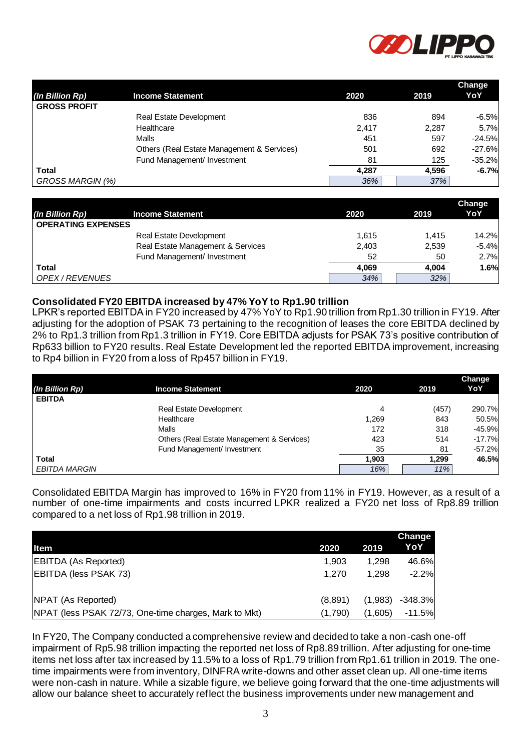

|                     |                                            |       |       | <b>Change</b> |
|---------------------|--------------------------------------------|-------|-------|---------------|
| (In Billion Rp)     | <b>Income Statement</b>                    | 2020  | 2019  | YoY           |
| <b>GROSS PROFIT</b> |                                            |       |       |               |
|                     | <b>Real Estate Development</b>             | 836   | 894   | $-6.5%$       |
|                     | Healthcare                                 | 2,417 | 2,287 | 5.7%          |
|                     | Malls                                      | 451   | 597   | $-24.5%$      |
|                     | Others (Real Estate Management & Services) | 501   | 692   | $-27.6%$      |
|                     | Fund Management/ Investment                | 81    | 125   | $-35.2%$      |
| Total               |                                            | 4.287 | 4.596 | $-6.7%$       |
| GROSS MARGIN (%)    |                                            | 36%   | 37%   |               |

|                           |                                   |       |       | Change       |
|---------------------------|-----------------------------------|-------|-------|--------------|
| (In Billion Rp)           | <b>Income Statement</b>           | 2020  | 2019  | YoY          |
| <b>OPERATING EXPENSES</b> |                                   |       |       |              |
|                           | <b>Real Estate Development</b>    | 1.615 | 1.415 | <b>14.2%</b> |
|                           | Real Estate Management & Services | 2,403 | 2,539 | $-5.4%$      |
|                           | Fund Management/ Investment       | 52    | 50    | 2.7%         |
| <b>Total</b>              |                                   | 4.069 | 4.004 | 1.6%         |
| OPEX / REVENUES           |                                   | 34%   | 32%   |              |

#### **Consolidated FY20 EBITDA increased by 47% YoY to Rp1.90 trillion**

| (In Billion Rp)                              | <b>Income Statement</b>                                                                                                                                                                                                                                                                                                                                                                                                                                                                                                                                    |         | 2020       | 2019          | YoY                  |
|----------------------------------------------|------------------------------------------------------------------------------------------------------------------------------------------------------------------------------------------------------------------------------------------------------------------------------------------------------------------------------------------------------------------------------------------------------------------------------------------------------------------------------------------------------------------------------------------------------------|---------|------------|---------------|----------------------|
| <b>GROSS PROFIT</b>                          | Real Estate Development                                                                                                                                                                                                                                                                                                                                                                                                                                                                                                                                    |         | 836        | 894           | $-6.5%$              |
|                                              | Healthcare                                                                                                                                                                                                                                                                                                                                                                                                                                                                                                                                                 |         | 2,417      | 2,287         | 5.7%                 |
|                                              | Malls                                                                                                                                                                                                                                                                                                                                                                                                                                                                                                                                                      |         | 451        | 597           | $-24.5%$             |
|                                              | Others (Real Estate Management & Services)                                                                                                                                                                                                                                                                                                                                                                                                                                                                                                                 |         | 501        | 692           | $-27.6%$             |
|                                              | Fund Management/ Investment                                                                                                                                                                                                                                                                                                                                                                                                                                                                                                                                |         | 81         | 125           | $-35.2%$             |
| Total                                        |                                                                                                                                                                                                                                                                                                                                                                                                                                                                                                                                                            |         | 4,287      | 4,596         | $-6.7%$              |
| GROSS MARGIN (%)                             |                                                                                                                                                                                                                                                                                                                                                                                                                                                                                                                                                            |         | 36%        | 37%           |                      |
|                                              |                                                                                                                                                                                                                                                                                                                                                                                                                                                                                                                                                            |         |            |               |                      |
|                                              |                                                                                                                                                                                                                                                                                                                                                                                                                                                                                                                                                            |         |            |               | Change<br>YoY        |
| (In Billion Rp)<br><b>OPERATING EXPENSES</b> | <b>Income Statement</b>                                                                                                                                                                                                                                                                                                                                                                                                                                                                                                                                    |         | 2020       | 2019          |                      |
|                                              | Real Estate Development                                                                                                                                                                                                                                                                                                                                                                                                                                                                                                                                    |         | 1,615      | 1,415         | 14.2%                |
|                                              | Real Estate Management & Services                                                                                                                                                                                                                                                                                                                                                                                                                                                                                                                          |         | 2,403      | 2,539         | $-5.4%$              |
|                                              | Fund Management/ Investment                                                                                                                                                                                                                                                                                                                                                                                                                                                                                                                                |         | 52         | 50            | 2.7%                 |
| <b>Total</b>                                 |                                                                                                                                                                                                                                                                                                                                                                                                                                                                                                                                                            |         | 4,069      | 4,004         | 1.6%                 |
| OPEX / REVENUES                              |                                                                                                                                                                                                                                                                                                                                                                                                                                                                                                                                                            |         | 34%        | 32%           |                      |
|                                              | 2% to Rp1.3 trillion from Rp1.3 trillion in FY19. Core EBITDA adjusts for PSAK 73's positive contribution of<br>Rp633 billion to FY20 results. Real Estate Development led the reported EBITDA improvement, increasing<br>to Rp4 billion in FY20 from a loss of Rp457 billion in FY19.                                                                                                                                                                                                                                                                     |         |            |               |                      |
| (In Billion Rp)                              | <b>Income Statement</b>                                                                                                                                                                                                                                                                                                                                                                                                                                                                                                                                    |         | 2020       | 2019          | Change<br>YoY        |
| <b>EBITDA</b>                                |                                                                                                                                                                                                                                                                                                                                                                                                                                                                                                                                                            |         |            |               |                      |
|                                              | <b>Real Estate Development</b>                                                                                                                                                                                                                                                                                                                                                                                                                                                                                                                             |         | 4          | (457)         | 290.7%               |
|                                              | Healthcare                                                                                                                                                                                                                                                                                                                                                                                                                                                                                                                                                 |         | 1,269      | 843           | 50.5%                |
|                                              | Malls                                                                                                                                                                                                                                                                                                                                                                                                                                                                                                                                                      |         | 172<br>423 | 318<br>514    | $-45.9%$<br>$-17.7%$ |
|                                              | Others (Real Estate Management & Services)<br>Fund Management/ Investment                                                                                                                                                                                                                                                                                                                                                                                                                                                                                  |         | 35         | 81            | $-57.2%$             |
| Total                                        |                                                                                                                                                                                                                                                                                                                                                                                                                                                                                                                                                            |         | 1,903      | 1,299         | 46.5%                |
| <b>EBITDA MARGIN</b>                         |                                                                                                                                                                                                                                                                                                                                                                                                                                                                                                                                                            |         | 16%        | 11%           |                      |
| Item                                         | Consolidated EBITDA Margin has improved to 16% in FY20 from 11% in FY19. However, as a result of a<br>number of one-time impairments and costs incurred LPKR realized a FY20 net loss of Rp8.89 trillion<br>compared to a net loss of Rp1.98 trillion in 2019.                                                                                                                                                                                                                                                                                             | 2020    | 2019       | Change<br>YoY |                      |
| <b>EBITDA (As Reported)</b>                  |                                                                                                                                                                                                                                                                                                                                                                                                                                                                                                                                                            | 1,903   | 1,298      | 46.6%         |                      |
| EBITDA (less PSAK 73)                        |                                                                                                                                                                                                                                                                                                                                                                                                                                                                                                                                                            | 1,270   | 1,298      | $-2.2%$       |                      |
| NPAT (As Reported)                           |                                                                                                                                                                                                                                                                                                                                                                                                                                                                                                                                                            | (8,891) | (1,983)    | $-348.3%$     |                      |
|                                              | NPAT (less PSAK 72/73, One-time charges, Mark to Mkt)                                                                                                                                                                                                                                                                                                                                                                                                                                                                                                      | (1,790) | (1,605)    | $-11.5%$      |                      |
|                                              | In FY20, The Company conducted a comprehensive review and decided to take a non-cash one-off<br>impairment of Rp5.98 trillion impacting the reported net loss of Rp8.89 trillion. After adjusting for one-time<br>items net loss after tax increased by 11.5% to a loss of Rp1.79 trillion from Rp1.61 trillion in 2019. The one-<br>time impairments were from inventory, DINFRA write-downs and other asset clean up. All one-time items<br>were non-cash in nature. While a sizable figure, we believe going forward that the one-time adjustments will |         |            |               |                      |
|                                              | allow our balance sheet to accurately reflect the business improvements under new management and                                                                                                                                                                                                                                                                                                                                                                                                                                                           |         |            |               |                      |

|                                                       |         |         | Change    |
|-------------------------------------------------------|---------|---------|-----------|
| <b>Item</b>                                           | 2020    | 2019    | YoY       |
| <b>EBITDA (As Reported)</b>                           | 1.903   | 1.298   | 46.6%     |
| EBITDA (less PSAK 73)                                 | 1.270   | 1.298   | $-2.2%$   |
|                                                       |         |         |           |
| NPAT (As Reported)                                    | (8,891) | (1,983) | $-348.3%$ |
| NPAT (less PSAK 72/73, One-time charges, Mark to Mkt) | (1.790) | (1,605) | $-11.5%$  |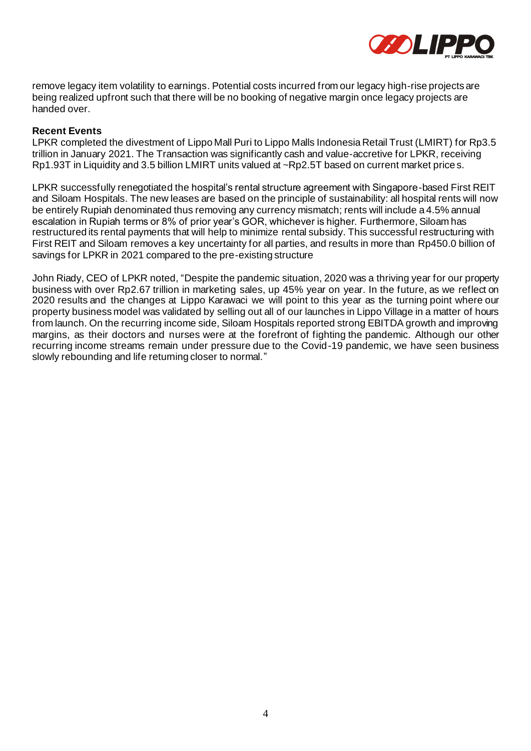

remove legacy item volatility to earnings. Potential costs incurred from our legacy high-rise projects are being realized upfront such that there will be no booking of negative margin once legacy projects are handed over.

#### **Recent Events**

LPKR completed the divestment of Lippo Mall Puri to Lippo Malls Indonesia Retail Trust (LMIRT) for Rp3.5 trillion in January 2021. The Transaction was significantly cash and value-accretive for LPKR, receiving Rp1.93T in Liquidity and 3.5 billion LMIRT units valued at ~Rp2.5T based on current market price s.

LPKR successfully renegotiated the hospital's rental structure agreement with Singapore-based First REIT and Siloam Hospitals. The new leases are based on the principle of sustainability: all hospital rents will now be entirely Rupiah denominated thus removing any currency mismatch; rents will include a 4.5% annual escalation in Rupiah terms or 8% of prior year's GOR, whichever is higher. Furthermore, Siloam has restructured its rental payments that will help to minimize rental subsidy. This successful restructuring with First REIT and Siloam removes a key uncertainty for all parties, and results in more than Rp450.0 billion of savings for LPKR in 2021 compared to the pre-existing structure

John Riady, CEO of LPKR noted, "Despite the pandemic situation, 2020 was a thriving year for our property business with over Rp2.67 trillion in marketing sales, up 45% year on year. In the future, as we reflect on 2020 results and the changes at Lippo Karawaci we will point to this year as the turning point where our property business model was validated by selling out all of our launches in Lippo Village in a matter of hours from launch. On the recurring income side, Siloam Hospitals reported strong EBITDA growth and improving margins, as their doctors and nurses were at the forefront of fighting the pandemic. Although our other recurring income streams remain under pressure due to the Covid-19 pandemic, we have seen business slowly rebounding and life returning closer to normal."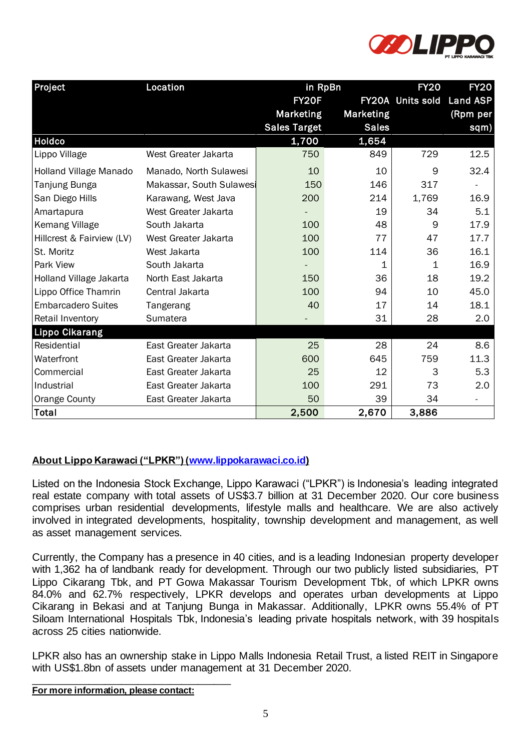

| Project<br>Location           |                          | in RpBn             |              | <b>FY20</b><br><b>FY20</b> |                 |
|-------------------------------|--------------------------|---------------------|--------------|----------------------------|-----------------|
|                               |                          | FY20F               |              | <b>FY20A</b> Units sold    | <b>Land ASP</b> |
|                               |                          | <b>Marketing</b>    | Marketing    |                            | (Rpm per        |
|                               |                          | <b>Sales Target</b> | <b>Sales</b> |                            | sqm)            |
| <b>Holdco</b>                 |                          | 1,700               | 1,654        |                            |                 |
| Lippo Village                 | West Greater Jakarta     | 750                 | 849          | 729                        | 12.5            |
| <b>Holland Village Manado</b> | Manado, North Sulawesi   | 10                  | 10           | 9                          | 32.4            |
| Tanjung Bunga                 | Makassar, South Sulawesi | 150                 | 146          | 317                        |                 |
| San Diego Hills               | Karawang, West Java      | 200                 | 214          | 1,769                      | 16.9            |
| Amartapura                    | West Greater Jakarta     |                     | 19           | 34                         | 5.1             |
| <b>Kemang Village</b>         | South Jakarta            | 100                 | 48           | 9                          | 17.9            |
| Hillcrest & Fairview (LV)     | West Greater Jakarta     | 100                 | 77           | 47                         | 17.7            |
| St. Moritz                    | West Jakarta             | 100                 | 114          | 36                         | 16.1            |
| <b>Park View</b>              | South Jakarta            |                     | 1            | $\mathbf{1}$               | 16.9            |
| Holland Village Jakarta       | North East Jakarta       | 150                 | 36           | 18                         | 19.2            |
| Lippo Office Thamrin          | Central Jakarta          | 100                 | 94           | 10                         | 45.0            |
| <b>Embarcadero Suites</b>     | Tangerang                | 40                  | 17           | 14                         | 18.1            |
| <b>Retail Inventory</b>       | Sumatera                 |                     | 31           | 28                         | 2.0             |
| <b>Lippo Cikarang</b>         |                          |                     |              |                            |                 |
| Residential                   | East Greater Jakarta     | 25                  | 28           | 24                         | 8.6             |
| Waterfront                    | East Greater Jakarta     | 600                 | 645          | 759                        | 11.3            |
| Commercial                    | East Greater Jakarta     | 25                  | 12           | 3                          | 5.3             |
| Industrial                    | East Greater Jakarta     | 100                 | 291          | 73                         | 2.0             |
| Orange County                 | East Greater Jakarta     | 50                  | 39           | 34                         |                 |
| Total                         |                          | 2,500               | 2,670        | 3,886                      |                 |

### **About Lippo Karawaci ("LPKR") [\(www.lippokarawaci.co.id\)](http://www.lippokarawaci.co.id/)**

Listed on the Indonesia Stock Exchange, Lippo Karawaci ("LPKR") is Indonesia's leading integrated real estate company with total assets of US\$3.7 billion at 31 December 2020. Our core business comprises urban residential developments, lifestyle malls and healthcare. We are also actively involved in integrated developments, hospitality, township development and management, as well as asset management services.

Currently, the Company has a presence in 40 cities, and is a leading Indonesian property developer with 1,362 ha of landbank ready for development. Through our two publicly listed subsidiaries, PT Lippo Cikarang Tbk, and PT Gowa Makassar Tourism Development Tbk, of which LPKR owns 84.0% and 62.7% respectively, LPKR develops and operates urban developments at Lippo Cikarang in Bekasi and at Tanjung Bunga in Makassar. Additionally, LPKR owns 55.4% of PT Siloam International Hospitals Tbk, Indonesia's leading private hospitals network, with 39 hospitals across 25 cities nationwide.

LPKR also has an ownership stake in Lippo Malls Indonesia Retail Trust, a listed REIT in Singapore with US\$1.8bn of assets under management at 31 December 2020.

**For more information, please contact:**

\_\_\_\_\_\_\_\_\_\_\_\_\_\_\_\_\_\_\_\_\_\_\_\_\_\_\_\_\_\_\_\_\_\_\_\_